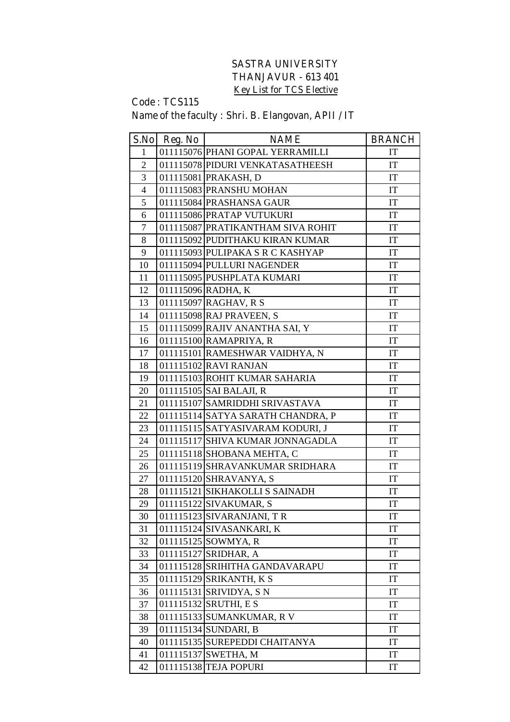## **SASTRA UNIVERSITY THANJAVUR - 613 401 Key List for TCS Elective**

## **Code : TCS115**

## **Name of the faculty : Shri. B. Elangovan, APII / IT**

|                | S.No Reg. No | <b>NAME</b>                       | <b>BRANCH</b>              |
|----------------|--------------|-----------------------------------|----------------------------|
| $\mathbf{1}$   |              | 011115076 PHANI GOPAL YERRAMILLI  | IT                         |
| $\overline{2}$ |              | 011115078 PIDURI VENKATASATHEESH  | IT                         |
| 3              |              | 011115081 PRAKASH, D              | IT                         |
| $\overline{4}$ |              | 011115083 PRANSHU MOHAN           | IT                         |
| 5              |              | 011115084 PRASHANSA GAUR          | IT                         |
| 6              |              | 011115086 PRATAP VUTUKURI         | IT                         |
| $\tau$         |              | 011115087 PRATIKANTHAM SIVA ROHIT | IT                         |
| 8              |              | 011115092 PUDITHAKU KIRAN KUMAR   | IT                         |
| 9              |              | 011115093 PULIPAKA S R C KASHYAP  | IT                         |
| 10             |              | 011115094 PULLURI NAGENDER        | IT                         |
| 11             |              | 011115095 PUSHPLATA KUMARI        | IT                         |
| 12             |              | 011115096 RADHA, K                | IT                         |
| 13             |              | 011115097 RAGHAV, R S             | IT                         |
| 14             |              | 011115098 RAJ PRAVEEN, S          | $\ensuremath{\mathsf{IT}}$ |
| 15             |              | 011115099 RAJIV ANANTHA SAI, Y    | IT                         |
| 16             |              | 011115100 RAMAPRIYA, R            | IT                         |
| 17             |              | 011115101 RAMESHWAR VAIDHYA, N    | IT                         |
| 18             |              | 011115102 RAVI RANJAN             | IT                         |
| 19             |              | 011115103 ROHIT KUMAR SAHARIA     | IT                         |
| 20             |              | 011115105 SAI BALAJI, R           | IT                         |
| 21             |              | 011115107 SAMRIDDHI SRIVASTAVA    | IT                         |
| 22             |              | 011115114 SATYA SARATH CHANDRA, P | IT                         |
| 23             |              | 011115115 SATYASIVARAM KODURI, J  | $\mathop{\mathrm{IT}}$     |
| 24             |              | 011115117 SHIVA KUMAR JONNAGADLA  | IT                         |
| 25             |              | 011115118 SHOBANA MEHTA, C        | IT                         |
| 26             |              | 011115119 SHRAVANKUMAR SRIDHARA   | IT                         |
| 27             |              | 011115120 SHRAVANYA, S            | IT                         |
| 28             |              | 011115121 SIKHAKOLLI S SAINADH    | IT                         |
| 29             |              | 011115122 SIVAKUMAR, S            | IT                         |
| 30             |              | 011115123 SIVARANJANI, TR         | $\mathop{\mathrm{IT}}$     |
| 31             |              | 011115124 SIVASANKARI, K          | IT                         |
| 32             |              | 011115125 SOWMYA, R               | IT                         |
| 33             |              | 011115127 SRIDHAR, A              | IT                         |
| 34             |              | 011115128 SRIHITHA GANDAVARAPU    | IT                         |
| 35             |              | 011115129 SRIKANTH, K S           | IT                         |
| 36             |              | 011115131 SRIVIDYA, S N           | IT                         |
| 37             |              | 011115132 SRUTHI, E S             | IT                         |
| 38             |              | 011115133 SUMANKUMAR, R V         | IT                         |
| 39             |              | 011115134 SUNDARI, B              | $\ensuremath{\mathsf{IT}}$ |
| 40             |              | 011115135 SUREPEDDI CHAITANYA     | IT                         |
| 41             |              | 011115137 SWETHA, M               | IT                         |
| 42             |              | 011115138 TEJA POPURI             | IT                         |